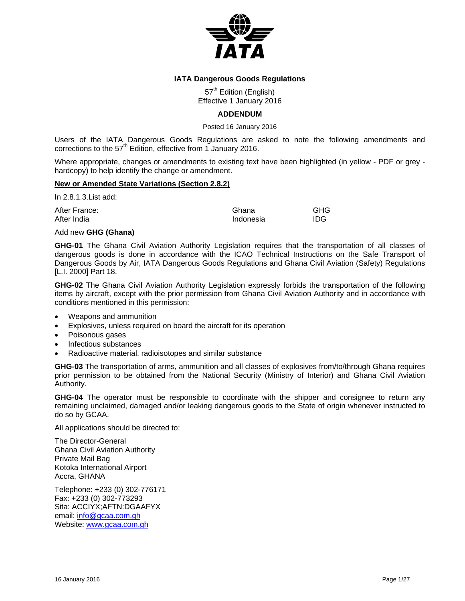

# **IATA Dangerous Goods Regulations**

57<sup>th</sup> Edition (English) Effective 1 January 2016

# **ADDENDUM**

Posted 16 January 2016

Users of the IATA Dangerous Goods Regulations are asked to note the following amendments and corrections to the  $57<sup>th</sup>$  Edition, effective from 1 January 2016.

Where appropriate, changes or amendments to existing text have been highlighted (in yellow - PDF or grey hardcopy) to help identify the change or amendment.

# **New or Amended State Variations (Section 2.8.2)**

In 2.8.1.3.List add:

After France: Chana Ghana GHG After India **Indonesia** Indonesia IDG

## Add new **GHG (Ghana)**

**GHG-01** The Ghana Civil Aviation Authority Legislation requires that the transportation of all classes of dangerous goods is done in accordance with the ICAO Technical Instructions on the Safe Transport of Dangerous Goods by Air, IATA Dangerous Goods Regulations and Ghana Civil Aviation (Safety) Regulations [L.I. 2000] Part 18.

**GHG-02** The Ghana Civil Aviation Authority Legislation expressly forbids the transportation of the following items by aircraft, except with the prior permission from Ghana Civil Aviation Authority and in accordance with conditions mentioned in this permission:

- Weapons and ammunition
- Explosives, unless required on board the aircraft for its operation
- Poisonous gases
- Infectious substances
- Radioactive material, radioisotopes and similar substance

**GHG-03** The transportation of arms, ammunition and all classes of explosives from/to/through Ghana requires prior permission to be obtained from the National Security (Ministry of Interior) and Ghana Civil Aviation Authority.

**GHG-04** The operator must be responsible to coordinate with the shipper and consignee to return any remaining unclaimed, damaged and/or leaking dangerous goods to the State of origin whenever instructed to do so by GCAA.

All applications should be directed to:

The Director-General Ghana Civil Aviation Authority Private Mail Bag Kotoka International Airport Accra, GHANA

Telephone: +233 (0) 302-776171 Fax: +233 (0) 302-773293 Sita: ACCIYX;AFTN:DGAAFYX email: info@gcaa.com.gh Website: www.gcaa.com.gh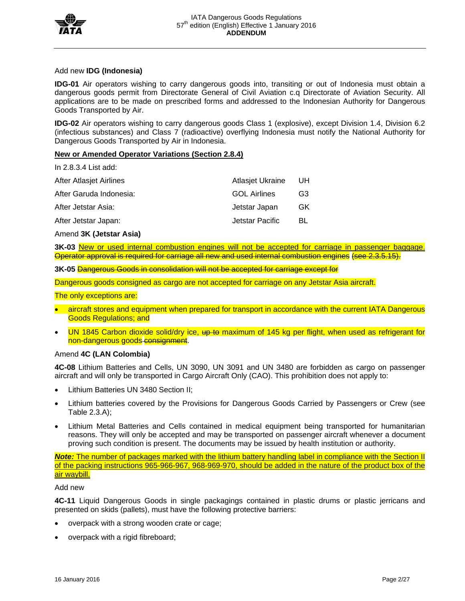

# Add new **IDG (Indonesia)**

**IDG-01** Air operators wishing to carry dangerous goods into, transiting or out of Indonesia must obtain a dangerous goods permit from Directorate General of Civil Aviation c.q Directorate of Aviation Security. All applications are to be made on prescribed forms and addressed to the Indonesian Authority for Dangerous Goods Transported by Air.

**IDG-02** Air operators wishing to carry dangerous goods Class 1 (explosive), except Division 1.4, Division 6.2 (infectious substances) and Class 7 (radioactive) overflying Indonesia must notify the National Authority for Dangerous Goods Transported by Air in Indonesia.

# **New or Amended Operator Variations (Section 2.8.4)**

In 2.8.3.4 List add:

| After Atlasjet Airlines | Atlasjet Ukraine    | UH             |
|-------------------------|---------------------|----------------|
| After Garuda Indonesia: | <b>GOL Airlines</b> | G <sub>3</sub> |
| After Jetstar Asia:     | Jetstar Japan       | GK             |
| After Jetstar Japan:    | Jetstar Pacific     | BL             |
|                         |                     |                |

## Amend **3K (Jetstar Asia)**

**3K-03** New or used internal combustion engines will not be accepted for carriage in passenger baggage. Operator approval is required for carriage all new and used internal combustion engines (see 2.3.5.15).

**3K-05** Dangerous Goods in consolidation will not be accepted for carriage except for

Dangerous goods consigned as cargo are not accepted for carriage on any Jetstar Asia aircraft.

The only exceptions are:

- aircraft stores and equipment when prepared for transport in accordance with the current IATA Dangerous Goods Regulations; and
- UN 1845 Carbon dioxide solid/dry ice, up to maximum of 145 kg per flight, when used as refrigerant for non-dangerous goods consignment.

# Amend **4C (LAN Colombia)**

**4C-08** Lithium Batteries and Cells, UN 3090, UN 3091 and UN 3480 are forbidden as cargo on passenger aircraft and will only be transported in Cargo Aircraft Only (CAO). This prohibition does not apply to:

- Lithium Batteries UN 3480 Section II;
- Lithium batteries covered by the Provisions for Dangerous Goods Carried by Passengers or Crew (see Table 2.3.A);
- Lithium Metal Batteries and Cells contained in medical equipment being transported for humanitarian reasons. They will only be accepted and may be transported on passenger aircraft whenever a document proving such condition is present. The documents may be issued by health institution or authority.

*Note:* The number of packages marked with the lithium battery handling label in compliance with the Section II of the packing instructions 965-966-967, 968-969-970, should be added in the nature of the product box of the air waybill.

# Add new

**4C-11** Liquid Dangerous Goods in single packagings contained in plastic drums or plastic jerricans and presented on skids (pallets), must have the following protective barriers:

- overpack with a strong wooden crate or cage;
- overpack with a rigid fibreboard;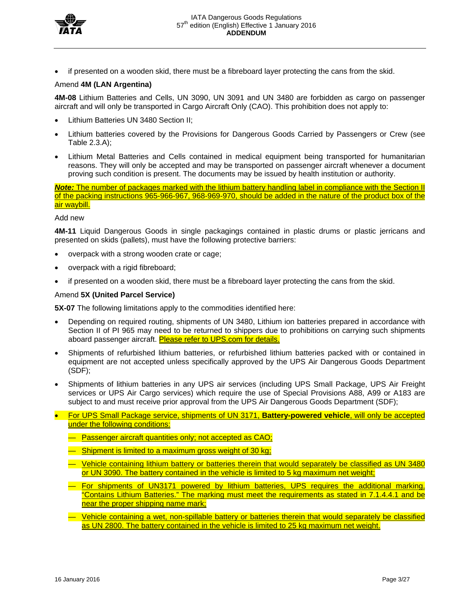

if presented on a wooden skid, there must be a fibreboard layer protecting the cans from the skid.

# Amend **4M (LAN Argentina)**

**4M-08** Lithium Batteries and Cells, UN 3090, UN 3091 and UN 3480 are forbidden as cargo on passenger aircraft and will only be transported in Cargo Aircraft Only (CAO). This prohibition does not apply to:

- Lithium Batteries UN 3480 Section II;
- Lithium batteries covered by the Provisions for Dangerous Goods Carried by Passengers or Crew (see Table 2.3.A);
- Lithium Metal Batteries and Cells contained in medical equipment being transported for humanitarian reasons. They will only be accepted and may be transported on passenger aircraft whenever a document proving such condition is present. The documents may be issued by health institution or authority.

*Note:* The number of packages marked with the lithium battery handling label in compliance with the Section II of the packing instructions 965-966-967, 968-969-970, should be added in the nature of the product box of the air waybill.

## Add new

**4M-11** Liquid Dangerous Goods in single packagings contained in plastic drums or plastic jerricans and presented on skids (pallets), must have the following protective barriers:

- overpack with a strong wooden crate or cage;
- overpack with a rigid fibreboard;
- if presented on a wooden skid, there must be a fibreboard layer protecting the cans from the skid.

## Amend **5X (United Parcel Service)**

**5X-07** The following limitations apply to the commodities identified here:

- Depending on required routing, shipments of UN 3480, Lithium ion batteries prepared in accordance with Section II of PI 965 may need to be returned to shippers due to prohibitions on carrying such shipments aboard passenger aircraft. Please refer to UPS.com for details.
- Shipments of refurbished lithium batteries, or refurbished lithium batteries packed with or contained in equipment are not accepted unless specifically approved by the UPS Air Dangerous Goods Department (SDF);
- Shipments of lithium batteries in any UPS air services (including UPS Small Package, UPS Air Freight services or UPS Air Cargo services) which require the use of Special Provisions A88, A99 or A183 are subject to and must receive prior approval from the UPS Air Dangerous Goods Department (SDF);
- For UPS Small Package service, shipments of UN 3171, **Battery-powered vehicle**, will only be accepted under the following conditions:
	- Passenger aircraft quantities only; not accepted as CAO;
	- Shipment is limited to a maximum gross weight of 30 kg;
	- Vehicle containing lithium battery or batteries therein that would separately be classified as UN 3480 or UN 3090. The battery contained in the vehicle is limited to 5 kg maximum net weight;
	- For shipments of UN3171 powered by lithium batteries, UPS requires the additional marking, "Contains Lithium Batteries." The marking must meet the requirements as stated in 7.1.4.4.1 and be near the proper shipping name mark;
	- Vehicle containing a wet, non-spillable battery or batteries therein that would separately be classified as UN 2800. The battery contained in the vehicle is limited to 25 kg maximum net weight.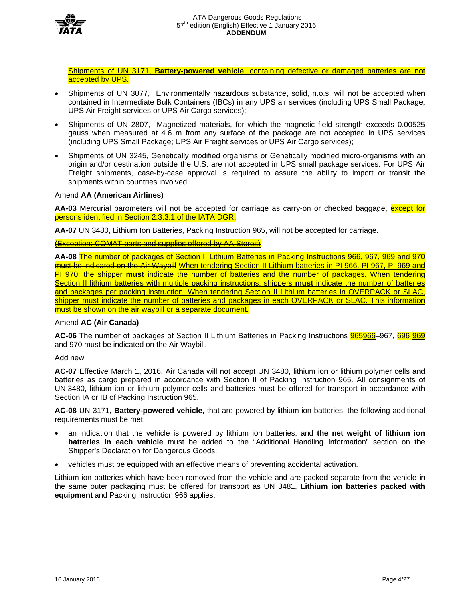

Shipments of UN 3171, **Battery-powered vehicle**, containing defective or damaged batteries are not accepted by **UPS**.

- Shipments of UN 3077, Environmentally hazardous substance, solid, n.o.s. will not be accepted when contained in Intermediate Bulk Containers (IBCs) in any UPS air services (including UPS Small Package, UPS Air Freight services or UPS Air Cargo services);
- Shipments of UN 2807, Magnetized materials, for which the magnetic field strength exceeds 0.00525 gauss when measured at 4.6 m from any surface of the package are not accepted in UPS services (including UPS Small Package; UPS Air Freight services or UPS Air Cargo services);
- Shipments of UN 3245, Genetically modified organisms or Genetically modified micro-organisms with an origin and/or destination outside the U.S. are not accepted in UPS small package services. For UPS Air Freight shipments, case-by-case approval is required to assure the ability to import or transit the shipments within countries involved.

## Amend **AA (American Airlines)**

AA-03 Mercurial barometers will not be accepted for carriage as carry-on or checked baggage, **except for** persons identified in Section 2.3.3.1 of the IATA DGR.

**AA-07** UN 3480, Lithium Ion Batteries, Packing Instruction 965, will not be accepted for carriage.

(Exception: COMAT parts and supplies offered by AA Stores)

**AA-08** The number of packages of Section II Lithium Batteries in Packing Instructions 966, 967, 969 and 970 must be indicated on the Air Waybill When tendering Section II Lithium batteries in PI 966, PI 967, PI 969 and PI 970; the shipper **must** indicate the number of batteries and the number of packages. When tendering Section II lithium batteries with multiple packing instructions, shippers **must** indicate the number of batteries and packages per packing instruction. When tendering Section II Lithium batteries in OVERPACK or SLAC, shipper must indicate the number of batteries and packages in each OVERPACK or SLAC. This information must be shown on the air waybill or a separate document.

### Amend **AC (Air Canada)**

**AC-06** The number of packages of Section II Lithium Batteries in Packing Instructions 965966–967, 696 969 and 970 must be indicated on the Air Waybill.

Add new

**AC-07** Effective March 1, 2016, Air Canada will not accept UN 3480, lithium ion or lithium polymer cells and batteries as cargo prepared in accordance with Section II of Packing Instruction 965. All consignments of UN 3480, lithium ion or lithium polymer cells and batteries must be offered for transport in accordance with Section IA or IB of Packing Instruction 965.

**AC-08** UN 3171, **Battery-powered vehicle,** that are powered by lithium ion batteries, the following additional requirements must be met:

- an indication that the vehicle is powered by lithium ion batteries, and **the net weight of lithium ion batteries in each vehicle** must be added to the "Additional Handling Information" section on the Shipper's Declaration for Dangerous Goods;
- vehicles must be equipped with an effective means of preventing accidental activation.

Lithium ion batteries which have been removed from the vehicle and are packed separate from the vehicle in the same outer packaging must be offered for transport as UN 3481, **Lithium ion batteries packed with equipment** and Packing Instruction 966 applies.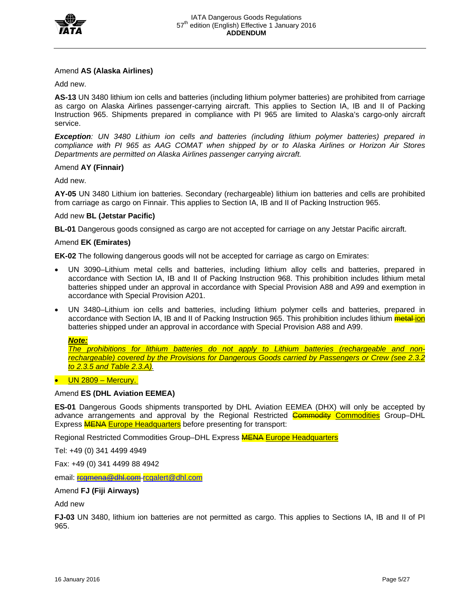

# Amend **AS (Alaska Airlines)**

Add new.

**AS-13** UN 3480 lithium ion cells and batteries (including lithium polymer batteries) are prohibited from carriage as cargo on Alaska Airlines passenger-carrying aircraft. This applies to Section IA, IB and II of Packing Instruction 965. Shipments prepared in compliance with PI 965 are limited to Alaska's cargo-only aircraft service.

*Exception: UN 3480 Lithium ion cells and batteries (including lithium polymer batteries) prepared in compliance with PI 965 as AAG COMAT when shipped by or to Alaska Airlines or Horizon Air Stores Departments are permitted on Alaska Airlines passenger carrying aircraft.* 

# Amend **AY (Finnair)**

Add new.

**AY-05** UN 3480 Lithium ion batteries. Secondary (rechargeable) lithium ion batteries and cells are prohibited from carriage as cargo on Finnair. This applies to Section IA, IB and II of Packing Instruction 965.

# Add new **BL (Jetstar Pacific)**

**BL-01** Dangerous goods consigned as cargo are not accepted for carriage on any Jetstar Pacific aircraft.

## Amend **EK (Emirates)**

**EK-02** The following dangerous goods will not be accepted for carriage as cargo on Emirates:

- UN 3090–Lithium metal cells and batteries, including lithium alloy cells and batteries, prepared in accordance with Section IA, IB and II of Packing Instruction 968. This prohibition includes lithium metal batteries shipped under an approval in accordance with Special Provision A88 and A99 and exemption in accordance with Special Provision A201.
- UN 3480–Lithium ion cells and batteries, including lithium polymer cells and batteries, prepared in accordance with Section IA, IB and II of Packing Instruction 965. This prohibition includes lithium *metal-ion* batteries shipped under an approval in accordance with Special Provision A88 and A99.

### *Note:*

*The prohibitions for lithium batteries do not apply to Lithium batteries (rechargeable and nonrechargeable) covered by the Provisions for Dangerous Goods carried by Passengers or Crew (see 2.3.2 to 2.3.5 and Table 2.3.A).* 

# $\bullet$  UN 2809 – Mercury.

### Amend **ES (DHL Aviation EEMEA)**

**ES-01** Dangerous Goods shipments transported by DHL Aviation EEMEA (DHX) will only be accepted by advance arrangements and approval by the Regional Restricted **Commodity Commodities** Group-DHL Express **MENA Europe Headquarters** before presenting for transport:

Regional Restricted Commodities Group–DHL Express **MENA Europe Headquarters** 

Tel: +49 (0) 341 4499 4949

Fax: +49 (0) 341 4499 88 4942

email: regmena@dhl.com rcgalert@dhl.com

# Amend **FJ (Fiji Airways)**

Add new

**FJ-03** UN 3480, lithium ion batteries are not permitted as cargo. This applies to Sections IA, IB and II of PI 965.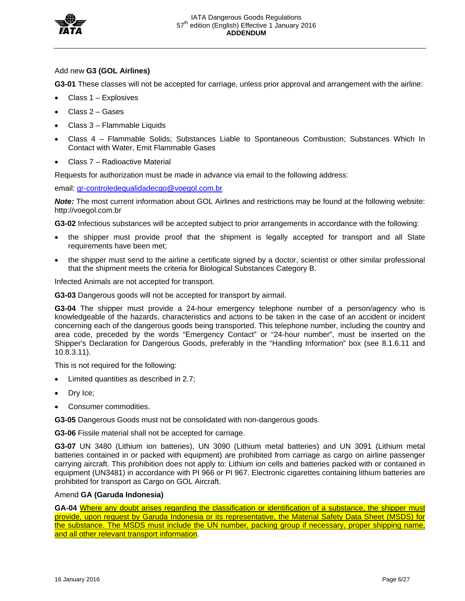

# Add new **G3 (GOL Airlines)**

**G3-01** These classes will not be accepted for carriage, unless prior approval and arrangement with the airline:

- Class 1 Explosives
- Class 2 Gases
- Class 3 Flammable Liquids
- Class 4 Flammable Solids; Substances Liable to Spontaneous Combustion; Substances Which In Contact with Water, Emit Flammable Gases
- Class 7 Radioactive Material

Requests for authorization must be made in advance via email to the following address:

email: gr-controledequalidadecgo@voegol.com.br

*Note:* The most current information about GOL Airlines and restrictions may be found at the following website: http://voegol.com.br

**G3-02** Infectious substances will be accepted subject to prior arrangements in accordance with the following:

- the shipper must provide proof that the shipment is legally accepted for transport and all State requirements have been met;
- the shipper must send to the airline a certificate signed by a doctor, scientist or other similar professional that the shipment meets the criteria for Biological Substances Category B.

Infected Animals are not accepted for transport.

**G3-03** Dangerous goods will not be accepted for transport by airmail.

**G3-04** The shipper must provide a 24-hour emergency telephone number of a person/agency who is knowledgeable of the hazards, characteristics and actions to be taken in the case of an accident or incident concerning each of the dangerous goods being transported. This telephone number, including the country and area code, preceded by the words "Emergency Contact" or "24-hour number", must be inserted on the Shipper's Declaration for Dangerous Goods, preferably in the "Handling Information" box (see 8.1.6.11 and 10.8.3.11).

This is not required for the following:

- Limited quantities as described in 2.7;
- Dry Ice;
- Consumer commodities.

**G3-05** Dangerous Goods must not be consolidated with non-dangerous goods.

**G3-06** Fissile material shall not be accepted for carriage.

**G3-07** UN 3480 (Lithium ion batteries), UN 3090 (Lithium metal batteries) and UN 3091 (Lithium metal batteries contained in or packed with equipment) are prohibited from carriage as cargo on airline passenger carrying aircraft. This prohibition does not apply to: Lithium ion cells and batteries packed with or contained in equipment (UN3481) in accordance with PI 966 or PI 967. Electronic cigarettes containing lithium batteries are prohibited for transport as Cargo on GOL Aircraft.

### Amend **GA (Garuda Indonesia)**

**GA-04** Where any doubt arises regarding the classification or identification of a substance, the shipper must provide, upon request by Garuda Indonesia or its representative, the Material Safety Data Sheet (MSDS) for the substance. The MSDS must include the UN number, packing group if necessary, proper shipping name, and all other relevant transport information.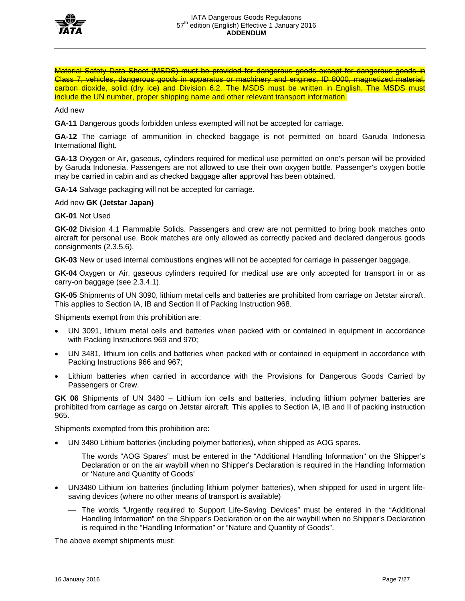

Material Safety Data Sheet (MSDS) must be provided for dangerous goods except for dangerous goods in Class 7, vehicles, dangerous goods in apparatus or machinery and engines, ID 8000, magnetized material, carbon dioxide, solid (dry ice) and Division 6.2. The MSDS must be written in English. The MSDS must include the UN number, proper shipping name and other relevant transport information.

Add new

**GA-11** Dangerous goods forbidden unless exempted will not be accepted for carriage.

**GA-12** The carriage of ammunition in checked baggage is not permitted on board Garuda Indonesia International flight.

**GA-13** Oxygen or Air, gaseous, cylinders required for medical use permitted on one's person will be provided by Garuda Indonesia. Passengers are not allowed to use their own oxygen bottle. Passenger's oxygen bottle may be carried in cabin and as checked baggage after approval has been obtained.

**GA-14** Salvage packaging will not be accepted for carriage.

Add new **GK (Jetstar Japan)** 

**GK-01** Not Used

**GK-02** Division 4.1 Flammable Solids. Passengers and crew are not permitted to bring book matches onto aircraft for personal use. Book matches are only allowed as correctly packed and declared dangerous goods consignments (2.3.5.6).

**GK-03** New or used internal combustions engines will not be accepted for carriage in passenger baggage.

**GK-04** Oxygen or Air, gaseous cylinders required for medical use are only accepted for transport in or as carry-on baggage (see 2.3.4.1).

**GK-05** Shipments of UN 3090, lithium metal cells and batteries are prohibited from carriage on Jetstar aircraft. This applies to Section IA, IB and Section II of Packing Instruction 968.

Shipments exempt from this prohibition are:

- UN 3091, lithium metal cells and batteries when packed with or contained in equipment in accordance with Packing Instructions 969 and 970;
- UN 3481, lithium ion cells and batteries when packed with or contained in equipment in accordance with Packing Instructions 966 and 967;
- Lithium batteries when carried in accordance with the Provisions for Dangerous Goods Carried by Passengers or Crew.

**GK 06** Shipments of UN 3480 – Lithium ion cells and batteries, including lithium polymer batteries are prohibited from carriage as cargo on Jetstar aircraft. This applies to Section IA, IB and II of packing instruction 965.

Shipments exempted from this prohibition are:

- UN 3480 Lithium batteries (including polymer batteries), when shipped as AOG spares.
	- The words "AOG Spares" must be entered in the "Additional Handling Information" on the Shipper's Declaration or on the air waybill when no Shipper's Declaration is required in the Handling Information or 'Nature and Quantity of Goods'
- UN3480 Lithium ion batteries (including lithium polymer batteries), when shipped for used in urgent lifesaving devices (where no other means of transport is available)
	- The words "Urgently required to Support Life-Saving Devices" must be entered in the "Additional Handling Information" on the Shipper's Declaration or on the air waybill when no Shipper's Declaration is required in the "Handling Information" or "Nature and Quantity of Goods".

The above exempt shipments must: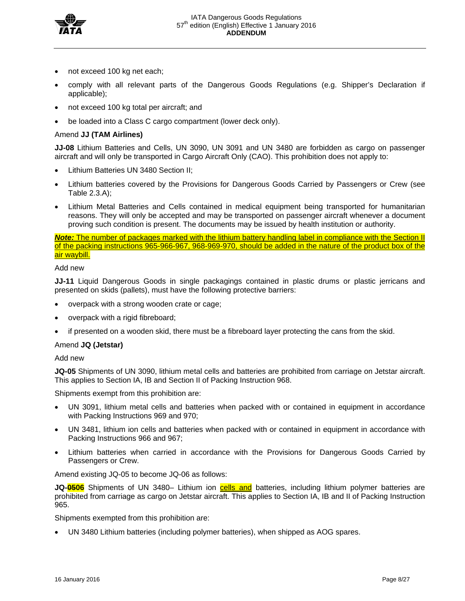

- not exceed 100 kg net each;
- comply with all relevant parts of the Dangerous Goods Regulations (e.g. Shipper's Declaration if applicable);
- not exceed 100 kg total per aircraft; and
- be loaded into a Class C cargo compartment (lower deck only).

# Amend **JJ (TAM Airlines)**

**JJ-08** Lithium Batteries and Cells, UN 3090, UN 3091 and UN 3480 are forbidden as cargo on passenger aircraft and will only be transported in Cargo Aircraft Only (CAO). This prohibition does not apply to:

- Lithium Batteries UN 3480 Section II;
- Lithium batteries covered by the Provisions for Dangerous Goods Carried by Passengers or Crew (see Table 2.3.A);
- Lithium Metal Batteries and Cells contained in medical equipment being transported for humanitarian reasons. They will only be accepted and may be transported on passenger aircraft whenever a document proving such condition is present. The documents may be issued by health institution or authority.

## *Note:* The number of packages marked with the lithium battery handling label in compliance with the Section II of the packing instructions 965-966-967, 968-969-970, should be added in the nature of the product box of the air waybill.

## Add new

**JJ-11** Liquid Dangerous Goods in single packagings contained in plastic drums or plastic jerricans and presented on skids (pallets), must have the following protective barriers:

- overpack with a strong wooden crate or cage;
- overpack with a rigid fibreboard;
- if presented on a wooden skid, there must be a fibreboard layer protecting the cans from the skid.

# Amend **JQ (Jetstar)**

### Add new

**JQ-05** Shipments of UN 3090, lithium metal cells and batteries are prohibited from carriage on Jetstar aircraft. This applies to Section IA, IB and Section II of Packing Instruction 968.

Shipments exempt from this prohibition are:

- UN 3091, lithium metal cells and batteries when packed with or contained in equipment in accordance with Packing Instructions 969 and 970;
- UN 3481, lithium ion cells and batteries when packed with or contained in equipment in accordance with Packing Instructions 966 and 967;
- Lithium batteries when carried in accordance with the Provisions for Dangerous Goods Carried by Passengers or Crew.

Amend existing JQ-05 to become JQ-06 as follows:

**JQ-0506** Shipments of UN 3480– Lithium ion cells and batteries, including lithium polymer batteries are prohibited from carriage as cargo on Jetstar aircraft. This applies to Section IA, IB and II of Packing Instruction 965.

Shipments exempted from this prohibition are:

UN 3480 Lithium batteries (including polymer batteries), when shipped as AOG spares.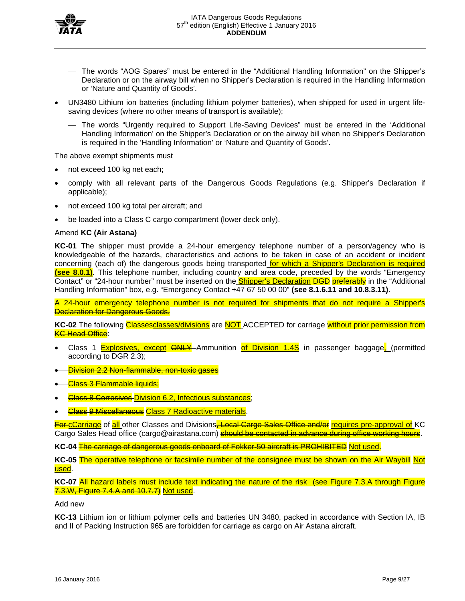

- The words "AOG Spares" must be entered in the "Additional Handling Information" on the Shipper's Declaration or on the airway bill when no Shipper's Declaration is required in the Handling Information or 'Nature and Quantity of Goods'.
- UN3480 Lithium ion batteries (including lithium polymer batteries), when shipped for used in urgent lifesaving devices (where no other means of transport is available);
	- The words "Urgently required to Support Life-Saving Devices" must be entered in the 'Additional Handling Information' on the Shipper's Declaration or on the airway bill when no Shipper's Declaration is required in the 'Handling Information' or 'Nature and Quantity of Goods'.

The above exempt shipments must

- not exceed 100 kg net each;
- comply with all relevant parts of the Dangerous Goods Regulations (e.g. Shipper's Declaration if applicable);
- not exceed 100 kg total per aircraft; and
- be loaded into a Class C cargo compartment (lower deck only).

### Amend **KC (Air Astana)**

**KC-01** The shipper must provide a 24-hour emergency telephone number of a person/agency who is knowledgeable of the hazards, characteristics and actions to be taken in case of an accident or incident concerning (each of) the dangerous goods being transported for which a Shipper's Declaration is required **(see 8.0.1)**. This telephone number, including country and area code, preceded by the words "Emergency Contact" or "24-hour number" must be inserted on the **Shipper's Declaration DGD** preferably in the "Additional Handling Information" box, e.g. "Emergency Contact +47 67 50 00 00" **(see 8.1.6.11 and 10.8.3.11)**.

A 24-hour emergency telephone number is not required for shipments that do not require a Shipper's **Declaration for Dangerous Goods.** 

KC-02 The following **Classesclasses/divisions** are **NOT** ACCEPTED for carriage without prior permission from **KC Head Office:** 

- Class 1 Explosives, except <del>ONLY</del>-Ammunition of Division 1.4S in passenger baggage, (permitted according to DGR 2.3);
- Division 2.2 Non-flammable, non-toxic gases
- **Class 3 Flammable liquids;**
- **Class 8 Corrosives Division 6.2, Infectious substances;**
- Class 9 Miscellaneous Class 7 Radioactive materials.

For cCarriage of all other Classes and Divisions, Local Cargo Sales Office and/or requires pre-approval of KC Cargo Sales Head office (cargo@airastana.com) **should be contacted in advance during office working hours**.

**KC-04** The carriage of dangerous goods onboard of Fokker-50 aircraft is PROHIBITED Not used.

**KC-05** The operative telephone or facsimile number of the consignee must be shown on the Air Waybill Not used.

**KC-07** All hazard labels must include text indicating the nature of the risk (see Figure 7.3.A through Figure 7.3.W, Figure 7.4.A and 10.7.7) Not used.

#### Add new

**KC-13** Lithium ion or lithium polymer cells and batteries UN 3480, packed in accordance with Section IA, IB and II of Packing Instruction 965 are forbidden for carriage as cargo on Air Astana aircraft.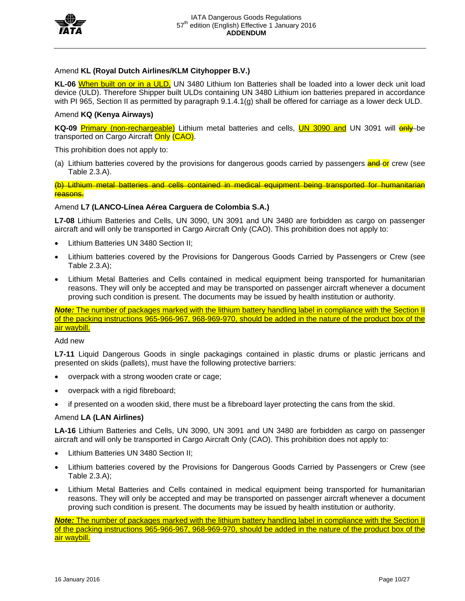

# Amend **KL (Royal Dutch Airlines/KLM Cityhopper B.V.)**

**KL-06** When built on or in a ULD, UN 3480 Lithium Ion Batteries shall be loaded into a lower deck unit load device (ULD). Therefore Shipper built ULDs containing UN 3480 Lithium ion batteries prepared in accordance with PI 965, Section II as permitted by paragraph 9.1.4.1(g) shall be offered for carriage as a lower deck ULD.

## Amend **KQ (Kenya Airways)**

KQ-09 Primary (non-rechargeable) Lithium metal batteries and cells, **UN 3090 and** UN 3091 will **enly**-be transported on Cargo Aircraft Only (CAO).

This prohibition does not apply to:

(a) Lithium batteries covered by the provisions for dangerous goods carried by passengers **and or** crew (see Table 2.3.A).

(b) Lithium metal batteries and cells contained in medical equipment being transported for humanitarian reasons.

## Amend **L7 (LANCO-Línea Aérea Carguera de Colombia S.A.)**

**L7-08** Lithium Batteries and Cells, UN 3090, UN 3091 and UN 3480 are forbidden as cargo on passenger aircraft and will only be transported in Cargo Aircraft Only (CAO). This prohibition does not apply to:

- Lithium Batteries UN 3480 Section II;
- Lithium batteries covered by the Provisions for Dangerous Goods Carried by Passengers or Crew (see Table 2.3.A);
- Lithium Metal Batteries and Cells contained in medical equipment being transported for humanitarian reasons. They will only be accepted and may be transported on passenger aircraft whenever a document proving such condition is present. The documents may be issued by health institution or authority.

*Note:* The number of packages marked with the lithium battery handling label in compliance with the Section II of the packing instructions 965-966-967, 968-969-970, should be added in the nature of the product box of the air waybill.

### Add new

**L7-11** Liquid Dangerous Goods in single packagings contained in plastic drums or plastic jerricans and presented on skids (pallets), must have the following protective barriers:

- overpack with a strong wooden crate or cage;
- overpack with a rigid fibreboard;
- if presented on a wooden skid, there must be a fibreboard layer protecting the cans from the skid.

### Amend **LA (LAN Airlines)**

**LA-16** Lithium Batteries and Cells, UN 3090, UN 3091 and UN 3480 are forbidden as cargo on passenger aircraft and will only be transported in Cargo Aircraft Only (CAO). This prohibition does not apply to:

- Lithium Batteries UN 3480 Section II;
- Lithium batteries covered by the Provisions for Dangerous Goods Carried by Passengers or Crew (see Table 2.3.A);
- Lithium Metal Batteries and Cells contained in medical equipment being transported for humanitarian reasons. They will only be accepted and may be transported on passenger aircraft whenever a document proving such condition is present. The documents may be issued by health institution or authority.

*Note:* The number of packages marked with the lithium battery handling label in compliance with the Section II of the packing instructions 965-966-967, 968-969-970, should be added in the nature of the product box of the air waybill.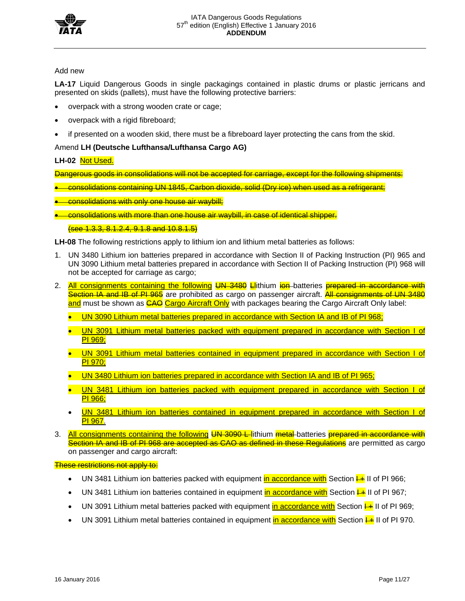

# Add new

**LA-17** Liquid Dangerous Goods in single packagings contained in plastic drums or plastic jerricans and presented on skids (pallets), must have the following protective barriers:

- overpack with a strong wooden crate or cage;
- overpack with a rigid fibreboard;
- if presented on a wooden skid, there must be a fibreboard layer protecting the cans from the skid.

# Amend **LH (Deutsche Lufthansa/Lufthansa Cargo AG)**

# **LH-02** Not Used.

Dangerous goods in consolidations will not be accepted for carriage, except for the following shipments:

- consolidations containing UN 1845, Carbon dioxide, solid (Dry ice) when used as a refrigerant;
- consolidations with only one house air waybill;
- consolidations with more than one house air waybill, in case of identical shipper.

## (see 1.3.3, 8.1.2.4, 9.1.8 and 10.8.1.5)

**LH-08** The following restrictions apply to lithium ion and lithium metal batteries as follows:

- 1. UN 3480 Lithium ion batteries prepared in accordance with Section II of Packing Instruction (PI) 965 and UN 3090 Lithium metal batteries prepared in accordance with Section II of Packing Instruction (PI) 968 will not be accepted for carriage as cargo;
- 2. All consignments containing the following UN 3480 Lithium ion batteries prepared in accordance with Section IA and IB of PI 965 are prohibited as cargo on passenger aircraft. All consignments of UN 3480 and must be shown as CAO Cargo Aircraft Only with packages bearing the Cargo Aircraft Only label:
	- UN 3090 Lithium metal batteries prepared in accordance with Section IA and IB of PI 968;
	- UN 3091 Lithium metal batteries packed with equipment prepared in accordance with Section I of PI 969;
	- UN 3091 Lithium metal batteries contained in equipment prepared in accordance with Section I of PI 970;
	- UN 3480 Lithium ion batteries prepared in accordance with Section IA and IB of PI 965;
	- UN 3481 Lithium ion batteries packed with equipment prepared in accordance with Section I of PI 966;
	- UN 3481 Lithium ion batteries contained in equipment prepared in accordance with Section I of PI 967.
- 3. All consignments containing the following UN 3090 L lithium metal batteries prepared in accordance with Section IA and IB of PI 968 are accepted as CAO as defined in these Regulations are permitted as cargo on passenger and cargo aircraft:

## These restrictions not apply to:

- UN 3481 Lithium ion batteries packed with equipment in accordance with Section  $\frac{1}{1}$  II of PI 966;
- UN 3481 Lithium ion batteries contained in equipment in accordance with Section  $\frac{1}{1}$  II of PI 967;
- UN 3091 Lithium metal batteries packed with equipment in accordance with Section  $\frac{1}{1}$  II of PI 969;
- UN 3091 Lithium metal batteries contained in equipment in accordance with Section  $\frac{1}{1}$ II of PI 970.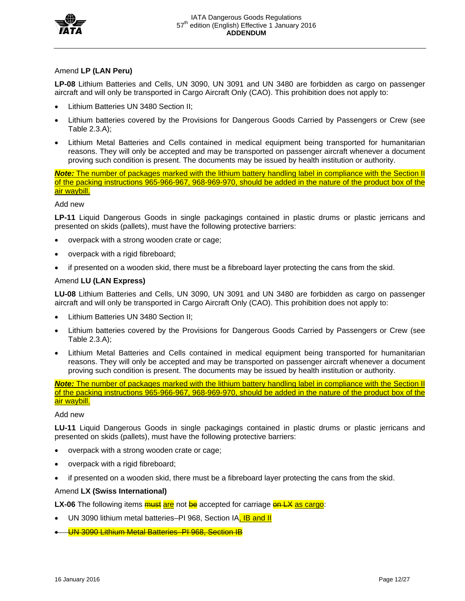

# Amend **LP (LAN Peru)**

**LP-08** Lithium Batteries and Cells, UN 3090, UN 3091 and UN 3480 are forbidden as cargo on passenger aircraft and will only be transported in Cargo Aircraft Only (CAO). This prohibition does not apply to:

- Lithium Batteries UN 3480 Section II;
- Lithium batteries covered by the Provisions for Dangerous Goods Carried by Passengers or Crew (see Table 2.3.A);
- Lithium Metal Batteries and Cells contained in medical equipment being transported for humanitarian reasons. They will only be accepted and may be transported on passenger aircraft whenever a document proving such condition is present. The documents may be issued by health institution or authority.

*Note:* The number of packages marked with the lithium battery handling label in compliance with the Section II of the packing instructions 965-966-967, 968-969-970, should be added in the nature of the product box of the air waybill.

# Add new

**LP-11** Liquid Dangerous Goods in single packagings contained in plastic drums or plastic jerricans and presented on skids (pallets), must have the following protective barriers:

- overpack with a strong wooden crate or cage;
- overpack with a rigid fibreboard;
- if presented on a wooden skid, there must be a fibreboard layer protecting the cans from the skid.

# Amend **LU (LAN Express)**

**LU-08** Lithium Batteries and Cells, UN 3090, UN 3091 and UN 3480 are forbidden as cargo on passenger aircraft and will only be transported in Cargo Aircraft Only (CAO). This prohibition does not apply to:

- Lithium Batteries UN 3480 Section II;
- Lithium batteries covered by the Provisions for Dangerous Goods Carried by Passengers or Crew (see Table 2.3.A);
- Lithium Metal Batteries and Cells contained in medical equipment being transported for humanitarian reasons. They will only be accepted and may be transported on passenger aircraft whenever a document proving such condition is present. The documents may be issued by health institution or authority.

*Note:* The number of packages marked with the lithium battery handling label in compliance with the Section II of the packing instructions 965-966-967, 968-969-970, should be added in the nature of the product box of the air waybill.

### Add new

**LU-11** Liquid Dangerous Goods in single packagings contained in plastic drums or plastic jerricans and presented on skids (pallets), must have the following protective barriers:

- overpack with a strong wooden crate or cage;
- overpack with a rigid fibreboard;
- if presented on a wooden skid, there must be a fibreboard layer protecting the cans from the skid.

# Amend **LX (Swiss International)**

**LX-06** The following items **must are** not be accepted for carriage on LX as cargo:

- UN 3090 lithium metal batteries–PI 968, Section IA, IB and II
- UN 3090 Lithium Metal Batteries–PI 968, Section IB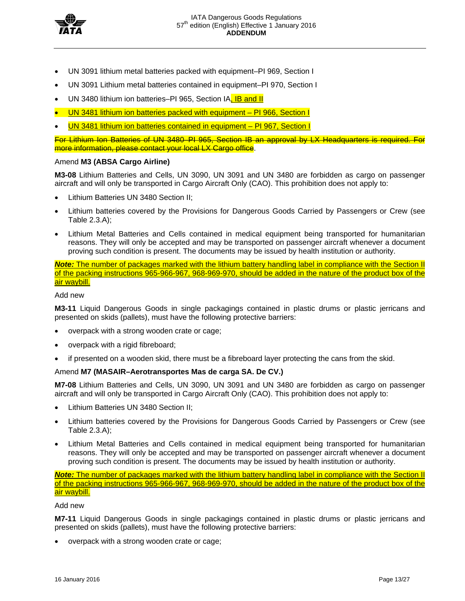

- UN 3091 lithium metal batteries packed with equipment–PI 969, Section I
- UN 3091 Lithium metal batteries contained in equipment–PI 970, Section I
- UN 3480 lithium ion batteries–PI 965, Section IA, IB and II
- UN 3481 lithium ion batteries packed with equipment PI 966, Section I
- UN 3481 lithium ion batteries contained in equipment PI 967, Section I

For Lithium Ion Batteries of UN 3480–PI 965, Section IB an approval by LX Headquarters is required. For more information, please contact your local LX Cargo office.

## Amend **M3 (ABSA Cargo Airline)**

**M3-08** Lithium Batteries and Cells, UN 3090, UN 3091 and UN 3480 are forbidden as cargo on passenger aircraft and will only be transported in Cargo Aircraft Only (CAO). This prohibition does not apply to:

- Lithium Batteries UN 3480 Section II;
- Lithium batteries covered by the Provisions for Dangerous Goods Carried by Passengers or Crew (see Table 2.3.A);
- Lithium Metal Batteries and Cells contained in medical equipment being transported for humanitarian reasons. They will only be accepted and may be transported on passenger aircraft whenever a document proving such condition is present. The documents may be issued by health institution or authority.

*Note:* The number of packages marked with the lithium battery handling label in compliance with the Section II of the packing instructions 965-966-967, 968-969-970, should be added in the nature of the product box of the air waybill.

## Add new

**M3-11** Liquid Dangerous Goods in single packagings contained in plastic drums or plastic jerricans and presented on skids (pallets), must have the following protective barriers:

- overpack with a strong wooden crate or cage;
- overpack with a rigid fibreboard;
- if presented on a wooden skid, there must be a fibreboard layer protecting the cans from the skid.

# Amend **M7 (MASAIR–Aerotransportes Mas de carga SA. De CV.)**

**M7-08** Lithium Batteries and Cells, UN 3090, UN 3091 and UN 3480 are forbidden as cargo on passenger aircraft and will only be transported in Cargo Aircraft Only (CAO). This prohibition does not apply to:

- Lithium Batteries UN 3480 Section II;
- Lithium batteries covered by the Provisions for Dangerous Goods Carried by Passengers or Crew (see Table 2.3.A);
- Lithium Metal Batteries and Cells contained in medical equipment being transported for humanitarian reasons. They will only be accepted and may be transported on passenger aircraft whenever a document proving such condition is present. The documents may be issued by health institution or authority.

*Note:* The number of packages marked with the lithium battery handling label in compliance with the Section II of the packing instructions 965-966-967, 968-969-970, should be added in the nature of the product box of the air waybill.

### Add new

**M7-11** Liquid Dangerous Goods in single packagings contained in plastic drums or plastic jerricans and presented on skids (pallets), must have the following protective barriers:

overpack with a strong wooden crate or cage;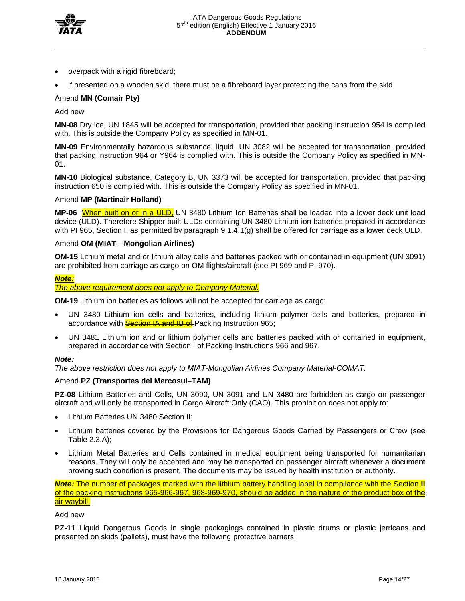

- overpack with a rigid fibreboard;
- if presented on a wooden skid, there must be a fibreboard layer protecting the cans from the skid.

## Amend **MN (Comair Pty)**

Add new

**MN-08** Dry ice, UN 1845 will be accepted for transportation, provided that packing instruction 954 is complied with. This is outside the Company Policy as specified in MN-01.

**MN-09** Environmentally hazardous substance, liquid, UN 3082 will be accepted for transportation, provided that packing instruction 964 or Y964 is complied with. This is outside the Company Policy as specified in MN-01.

**MN-10** Biological substance, Category B, UN 3373 will be accepted for transportation, provided that packing instruction 650 is complied with. This is outside the Company Policy as specified in MN-01.

### Amend **MP (Martinair Holland)**

**MP-06** When built on or in a ULD, UN 3480 Lithium Ion Batteries shall be loaded into a lower deck unit load device (ULD). Therefore Shipper built ULDs containing UN 3480 Lithium ion batteries prepared in accordance with PI 965, Section II as permitted by paragraph 9.1.4.1(g) shall be offered for carriage as a lower deck ULD.

### Amend **OM (MIAT—Mongolian Airlines)**

**OM-15** Lithium metal and or lithium alloy cells and batteries packed with or contained in equipment (UN 3091) are prohibited from carriage as cargo on OM flights/aircraft (see PI 969 and PI 970).

#### *Note:*

*The above requirement does not apply to Company Material.*

**OM-19** Lithium ion batteries as follows will not be accepted for carriage as cargo:

- UN 3480 Lithium ion cells and batteries, including lithium polymer cells and batteries, prepared in accordance with **Section IA and IB of** Packing Instruction 965;
- UN 3481 Lithium ion and or lithium polymer cells and batteries packed with or contained in equipment, prepared in accordance with Section I of Packing Instructions 966 and 967.

### *Note:*

*The above restriction does not apply to MIAT-Mongolian Airlines Company Material-COMAT.*

### Amend **PZ (Transportes del Mercosul–TAM)**

**PZ-08** Lithium Batteries and Cells, UN 3090, UN 3091 and UN 3480 are forbidden as cargo on passenger aircraft and will only be transported in Cargo Aircraft Only (CAO). This prohibition does not apply to:

- Lithium Batteries UN 3480 Section II;
- Lithium batteries covered by the Provisions for Dangerous Goods Carried by Passengers or Crew (see Table 2.3.A);
- Lithium Metal Batteries and Cells contained in medical equipment being transported for humanitarian reasons. They will only be accepted and may be transported on passenger aircraft whenever a document proving such condition is present. The documents may be issued by health institution or authority.

*Note:* The number of packages marked with the lithium battery handling label in compliance with the Section II of the packing instructions 965-966-967, 968-969-970, should be added in the nature of the product box of the air waybill.

### Add new

**PZ-11** Liquid Dangerous Goods in single packagings contained in plastic drums or plastic jerricans and presented on skids (pallets), must have the following protective barriers: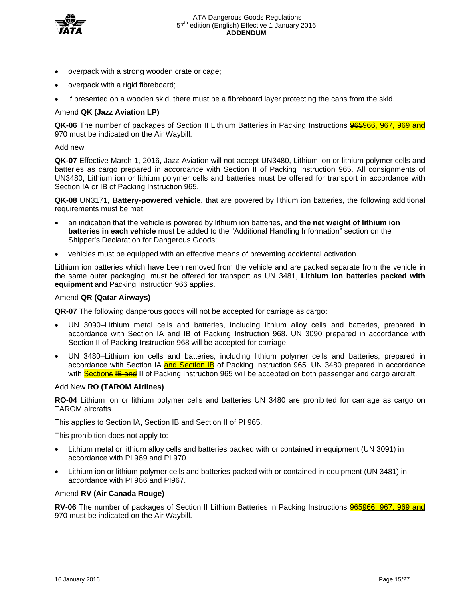

- overpack with a strong wooden crate or cage;
- overpack with a rigid fibreboard;
- if presented on a wooden skid, there must be a fibreboard layer protecting the cans from the skid.

# Amend **QK (Jazz Aviation LP)**

**QK-06** The number of packages of Section II Lithium Batteries in Packing Instructions 965966, 967, 969 and 970 must be indicated on the Air Waybill.

### Add new

**QK-07** Effective March 1, 2016, Jazz Aviation will not accept UN3480, Lithium ion or lithium polymer cells and batteries as cargo prepared in accordance with Section II of Packing Instruction 965. All consignments of UN3480, Lithium ion or lithium polymer cells and batteries must be offered for transport in accordance with Section IA or IB of Packing Instruction 965.

**QK-08** UN3171, **Battery-powered vehicle,** that are powered by lithium ion batteries, the following additional requirements must be met:

- an indication that the vehicle is powered by lithium ion batteries, and **the net weight of lithium ion batteries in each vehicle** must be added to the "Additional Handling Information" section on the Shipper's Declaration for Dangerous Goods;
- vehicles must be equipped with an effective means of preventing accidental activation.

Lithium ion batteries which have been removed from the vehicle and are packed separate from the vehicle in the same outer packaging, must be offered for transport as UN 3481, **Lithium ion batteries packed with equipment** and Packing Instruction 966 applies.

### Amend **QR (Qatar Airways)**

**QR-07** The following dangerous goods will not be accepted for carriage as cargo:

- UN 3090–Lithium metal cells and batteries, including lithium alloy cells and batteries, prepared in accordance with Section IA and IB of Packing Instruction 968. UN 3090 prepared in accordance with Section II of Packing Instruction 968 will be accepted for carriage.
- UN 3480–Lithium ion cells and batteries, including lithium polymer cells and batteries, prepared in accordance with Section IA and Section IB of Packing Instruction 965. UN 3480 prepared in accordance with Sections IB and II of Packing Instruction 965 will be accepted on both passenger and cargo aircraft.

### Add New **RO (TAROM Airlines)**

**RO-04** Lithium ion or lithium polymer cells and batteries UN 3480 are prohibited for carriage as cargo on TAROM aircrafts.

This applies to Section IA, Section IB and Section II of PI 965.

This prohibition does not apply to:

- Lithium metal or lithium alloy cells and batteries packed with or contained in equipment (UN 3091) in accordance with PI 969 and PI 970.
- Lithium ion or lithium polymer cells and batteries packed with or contained in equipment (UN 3481) in accordance with PI 966 and PI967.

### Amend **RV (Air Canada Rouge)**

**RV-06** The number of packages of Section II Lithium Batteries in Packing Instructions **965966**, 967, 969 and 970 must be indicated on the Air Waybill.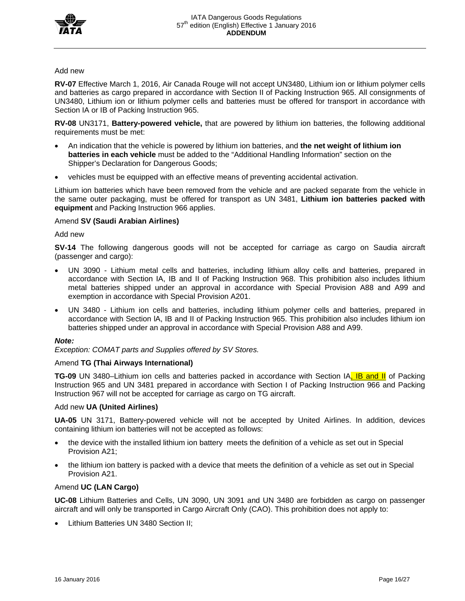

## Add new

**RV-07** Effective March 1, 2016, Air Canada Rouge will not accept UN3480, Lithium ion or lithium polymer cells and batteries as cargo prepared in accordance with Section II of Packing Instruction 965. All consignments of UN3480, Lithium ion or lithium polymer cells and batteries must be offered for transport in accordance with Section IA or IB of Packing Instruction 965.

**RV-08** UN3171, **Battery-powered vehicle,** that are powered by lithium ion batteries, the following additional requirements must be met:

- An indication that the vehicle is powered by lithium ion batteries, and **the net weight of lithium ion batteries in each vehicle** must be added to the "Additional Handling Information" section on the Shipper's Declaration for Dangerous Goods;
- vehicles must be equipped with an effective means of preventing accidental activation.

Lithium ion batteries which have been removed from the vehicle and are packed separate from the vehicle in the same outer packaging, must be offered for transport as UN 3481, **Lithium ion batteries packed with equipment** and Packing Instruction 966 applies.

## Amend **SV (Saudi Arabian Airlines)**

Add new

**SV-14** The following dangerous goods will not be accepted for carriage as cargo on Saudia aircraft (passenger and cargo):

- UN 3090 Lithium metal cells and batteries, including lithium alloy cells and batteries, prepared in accordance with Section IA, IB and II of Packing Instruction 968. This prohibition also includes lithium metal batteries shipped under an approval in accordance with Special Provision A88 and A99 and exemption in accordance with Special Provision A201.
- UN 3480 Lithium ion cells and batteries, including lithium polymer cells and batteries, prepared in accordance with Section lA, IB and II of Packing Instruction 965. This prohibition also includes lithium ion batteries shipped under an approval in accordance with Special Provision A88 and A99.

### *Note:*

*Exception: COMAT parts and Supplies offered by SV Stores.* 

### Amend **TG (Thai Airways International)**

**TG-09** UN 3480–Lithium ion cells and batteries packed in accordance with Section IA, IB and II of Packing Instruction 965 and UN 3481 prepared in accordance with Section I of Packing Instruction 966 and Packing Instruction 967 will not be accepted for carriage as cargo on TG aircraft.

# Add new **UA (United Airlines)**

**UA-05** UN 3171, Battery-powered vehicle will not be accepted by United Airlines. In addition, devices containing lithium ion batteries will not be accepted as follows:

- the device with the installed lithium ion battery meets the definition of a vehicle as set out in Special Provision A21;
- the lithium ion battery is packed with a device that meets the definition of a vehicle as set out in Special Provision A21.

# Amend **UC (LAN Cargo)**

**UC-08** Lithium Batteries and Cells, UN 3090, UN 3091 and UN 3480 are forbidden as cargo on passenger aircraft and will only be transported in Cargo Aircraft Only (CAO). This prohibition does not apply to:

Lithium Batteries UN 3480 Section II;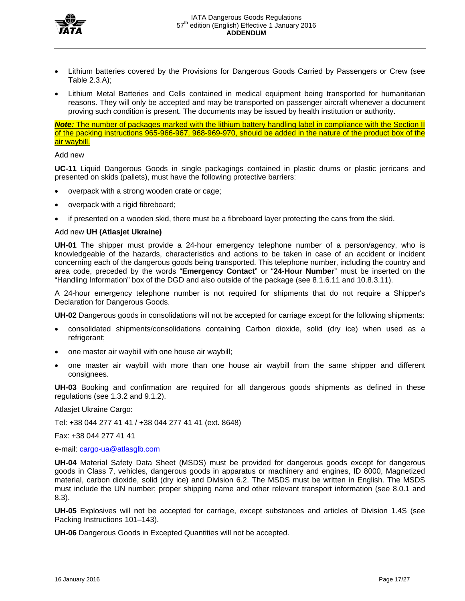

- Lithium batteries covered by the Provisions for Dangerous Goods Carried by Passengers or Crew (see Table 2.3.A);
- Lithium Metal Batteries and Cells contained in medical equipment being transported for humanitarian reasons. They will only be accepted and may be transported on passenger aircraft whenever a document proving such condition is present. The documents may be issued by health institution or authority.

*Note:* The number of packages marked with the lithium battery handling label in compliance with the Section II of the packing instructions 965-966-967, 968-969-970, should be added in the nature of the product box of the air waybill.

## Add new

**UC-11** Liquid Dangerous Goods in single packagings contained in plastic drums or plastic jerricans and presented on skids (pallets), must have the following protective barriers:

- overpack with a strong wooden crate or cage;
- overpack with a rigid fibreboard;
- if presented on a wooden skid, there must be a fibreboard layer protecting the cans from the skid.

## Add new **UH (Atlasjet Ukraine)**

**UH-01** The shipper must provide a 24-hour emergency telephone number of a person/agency, who is knowledgeable of the hazards, characteristics and actions to be taken in case of an accident or incident concerning each of the dangerous goods being transported. This telephone number, including the country and area code, preceded by the words "**Emergency Contact**" or "**24-Hour Number**" must be inserted on the "Handling Information" box of the DGD and also outside of the package (see 8.1.6.11 and 10.8.3.11).

A 24-hour emergency telephone number is not required for shipments that do not require a Shipper's Declaration for Dangerous Goods.

**UH-02** Dangerous goods in consolidations will not be accepted for carriage except for the following shipments:

- consolidated shipments/consolidations containing Carbon dioxide, solid (dry ice) when used as a refrigerant;
- one master air waybill with one house air waybill;
- one master air waybill with more than one house air waybill from the same shipper and different consignees.

**UH-03** Booking and confirmation are required for all dangerous goods shipments as defined in these regulations (see 1.3.2 and 9.1.2).

Atlasjet Ukraine Cargo:

Tel: +38 044 277 41 41 / +38 044 277 41 41 (ext. 8648)

Fax: +38 044 277 41 41

e-mail: cargo-ua@atlasglb.com

**UH-04** Material Safety Data Sheet (MSDS) must be provided for dangerous goods except for dangerous goods in Class 7, vehicles, dangerous goods in apparatus or machinery and engines, ID 8000, Magnetized material, carbon dioxide, solid (dry ice) and Division 6.2. The MSDS must be written in English. The MSDS must include the UN number; proper shipping name and other relevant transport information (see 8.0.1 and 8.3).

**UH-05** Explosives will not be accepted for carriage, except substances and articles of Division 1.4S (see Packing Instructions 101–143).

**UH-06** Dangerous Goods in Excepted Quantities will not be accepted.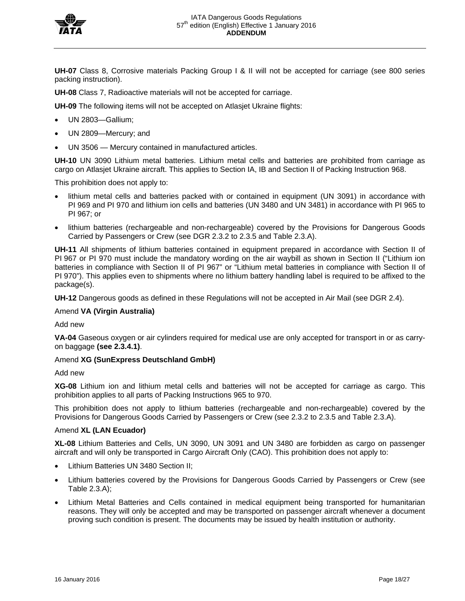

**UH-07** Class 8, Corrosive materials Packing Group I & II will not be accepted for carriage (see 800 series packing instruction).

**UH-08** Class 7, Radioactive materials will not be accepted for carriage.

**UH-09** The following items will not be accepted on Atlasjet Ukraine flights:

- UN 2803—Gallium;
- UN 2809—Mercury; and
- UN 3506 Mercury contained in manufactured articles.

**UH-10** UN 3090 Lithium metal batteries. Lithium metal cells and batteries are prohibited from carriage as cargo on Atlasjet Ukraine aircraft. This applies to Section IA, IB and Section II of Packing Instruction 968.

This prohibition does not apply to:

- lithium metal cells and batteries packed with or contained in equipment (UN 3091) in accordance with PI 969 and PI 970 and lithium ion cells and batteries (UN 3480 and UN 3481) in accordance with PI 965 to PI 967; or
- lithium batteries (rechargeable and non-rechargeable) covered by the Provisions for Dangerous Goods Carried by Passengers or Crew (see DGR 2.3.2 to 2.3.5 and Table 2.3.A).

**UH-11** All shipments of lithium batteries contained in equipment prepared in accordance with Section II of PI 967 or PI 970 must include the mandatory wording on the air waybill as shown in Section II ("Lithium ion batteries in compliance with Section II of PI 967" or "Lithium metal batteries in compliance with Section II of PI 970"). This applies even to shipments where no lithium battery handling label is required to be affixed to the package(s).

**UH-12** Dangerous goods as defined in these Regulations will not be accepted in Air Mail (see DGR 2.4).

## Amend **VA (Virgin Australia)**

Add new

**VA-04** Gaseous oxygen or air cylinders required for medical use are only accepted for transport in or as carryon baggage **(see 2.3.4.1)**.

# Amend **XG (SunExpress Deutschland GmbH)**

Add new

**XG-08** Lithium ion and lithium metal cells and batteries will not be accepted for carriage as cargo. This prohibition applies to all parts of Packing Instructions 965 to 970.

This prohibition does not apply to lithium batteries (rechargeable and non-rechargeable) covered by the Provisions for Dangerous Goods Carried by Passengers or Crew (see 2.3.2 to 2.3.5 and Table 2.3.A).

### Amend **XL (LAN Ecuador)**

**XL-08** Lithium Batteries and Cells, UN 3090, UN 3091 and UN 3480 are forbidden as cargo on passenger aircraft and will only be transported in Cargo Aircraft Only (CAO). This prohibition does not apply to:

- Lithium Batteries UN 3480 Section II;
- Lithium batteries covered by the Provisions for Dangerous Goods Carried by Passengers or Crew (see Table 2.3.A);
- Lithium Metal Batteries and Cells contained in medical equipment being transported for humanitarian reasons. They will only be accepted and may be transported on passenger aircraft whenever a document proving such condition is present. The documents may be issued by health institution or authority.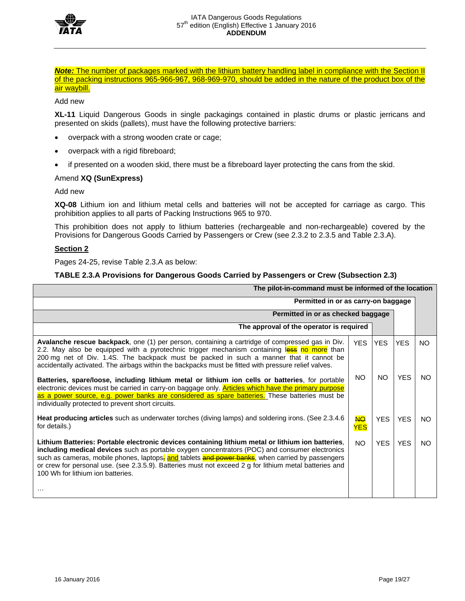

*Note:* The number of packages marked with the lithium battery handling label in compliance with the Section II of the packing instructions 965-966-967, 968-969-970, should be added in the nature of the product box of the air waybill.

Add new

**XL-11** Liquid Dangerous Goods in single packagings contained in plastic drums or plastic jerricans and presented on skids (pallets), must have the following protective barriers:

- overpack with a strong wooden crate or cage;
- overpack with a rigid fibreboard;
- if presented on a wooden skid, there must be a fibreboard layer protecting the cans from the skid.

## Amend **XQ (SunExpress)**

### Add new

**XQ-08** Lithium ion and lithium metal cells and batteries will not be accepted for carriage as cargo. This prohibition applies to all parts of Packing Instructions 965 to 970.

This prohibition does not apply to lithium batteries (rechargeable and non-rechargeable) covered by the Provisions for Dangerous Goods Carried by Passengers or Crew (see 2.3.2 to 2.3.5 and Table 2.3.A).

## **Section 2**

Pages 24-25, revise Table 2.3.A as below:

# **TABLE 2.3.A Provisions for Dangerous Goods Carried by Passengers or Crew (Subsection 2.3)**

| The pilot-in-command must be informed of the location                                                                                                                                                                                                                                                                                                                                                                                                              |                         |            |            |     |  |  |  |  |  |  |
|--------------------------------------------------------------------------------------------------------------------------------------------------------------------------------------------------------------------------------------------------------------------------------------------------------------------------------------------------------------------------------------------------------------------------------------------------------------------|-------------------------|------------|------------|-----|--|--|--|--|--|--|
| Permitted in or as carry-on baggage                                                                                                                                                                                                                                                                                                                                                                                                                                |                         |            |            |     |  |  |  |  |  |  |
| Permitted in or as checked baggage                                                                                                                                                                                                                                                                                                                                                                                                                                 |                         |            |            |     |  |  |  |  |  |  |
| The approval of the operator is required                                                                                                                                                                                                                                                                                                                                                                                                                           |                         |            |            |     |  |  |  |  |  |  |
| Avalanche rescue backpack, one (1) per person, containing a cartridge of compressed gas in Div.<br><b>YES</b><br><b>YES</b><br><b>YES</b><br>2.2. May also be equipped with a pyrotechnic trigger mechanism containing less no more than<br>200 mg net of Div. 1.4S. The backpack must be packed in such a manner that it cannot be<br>accidentally activated. The airbags within the backpacks must be fitted with pressure relief valves.                        |                         |            |            |     |  |  |  |  |  |  |
| Batteries, spare/loose, including lithium metal or lithium ion cells or batteries, for portable<br>electronic devices must be carried in carry-on baggage only. Articles which have the primary purpose<br>as a power source, e.g. power banks are considered as spare batteries. These batteries must be<br>individually protected to prevent short circuits.                                                                                                     | <b>NO</b>               | <b>NO</b>  | <b>YES</b> | NO. |  |  |  |  |  |  |
| Heat producing articles such as underwater torches (diving lamps) and soldering irons. (See 2.3.4.6<br>for details.)                                                                                                                                                                                                                                                                                                                                               | <b>NO</b><br><b>YES</b> | <b>YES</b> | <b>YES</b> | NO. |  |  |  |  |  |  |
| Lithium Batteries: Portable electronic devices containing lithium metal or lithium ion batteries,<br>including medical devices such as portable oxygen concentrators (POC) and consumer electronics<br>such as cameras, mobile phones, laptops, and tablets and power banks, when carried by passengers<br>or crew for personal use. (see 2.3.5.9). Batteries must not exceed 2 g for lithium metal batteries and<br>100 Wh for lithium ion batteries.<br>$\cdots$ | <b>YES</b>              | <b>YES</b> | NO.        |     |  |  |  |  |  |  |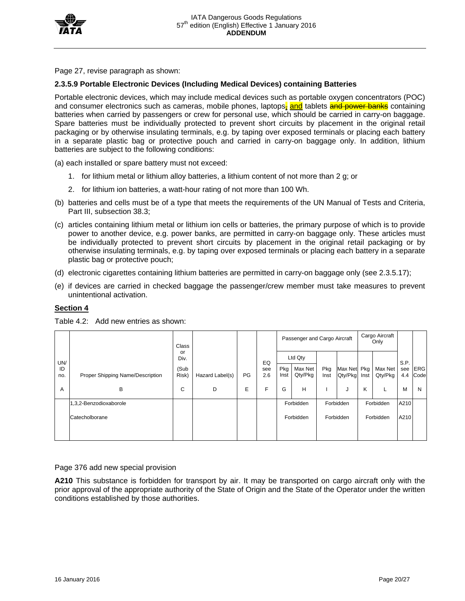

Page 27, revise paragraph as shown:

# **2.3.5.9 Portable Electronic Devices (Including Medical Devices) containing Batteries**

Portable electronic devices, which may include medical devices such as portable oxygen concentrators (POC) and consumer electronics such as cameras, mobile phones, laptops, and tablets and power banks containing batteries when carried by passengers or crew for personal use, which should be carried in carry-on baggage. Spare batteries must be individually protected to prevent short circuits by placement in the original retail packaging or by otherwise insulating terminals, e.g. by taping over exposed terminals or placing each battery in a separate plastic bag or protective pouch and carried in carry-on baggage only. In addition, lithium batteries are subject to the following conditions:

(a) each installed or spare battery must not exceed:

- 1. for lithium metal or lithium alloy batteries, a lithium content of not more than 2 g; or
- 2. for lithium ion batteries, a watt-hour rating of not more than 100 Wh.
- (b) batteries and cells must be of a type that meets the requirements of the UN Manual of Tests and Criteria, Part III, subsection 38.3;
- (c) articles containing lithium metal or lithium ion cells or batteries, the primary purpose of which is to provide power to another device, e.g. power banks, are permitted in carry-on baggage only. These articles must be individually protected to prevent short circuits by placement in the original retail packaging or by otherwise insulating terminals, e.g. by taping over exposed terminals or placing each battery in a separate plastic bag or protective pouch;
- (d) electronic cigarettes containing lithium batteries are permitted in carry-on baggage only (see 2.3.5.17);
- (e) if devices are carried in checked baggage the passenger/crew member must take measures to prevent unintentional activation.

# **Section 4**

|                  | Proper Shipping Name/Description | <b>Class</b>                |                 |    |                  |             |                               |             | Passenger and Cargo Aircraft |             |                    | Cargo Aircraft<br>Only |                    |  |           |      |  |
|------------------|----------------------------------|-----------------------------|-----------------|----|------------------|-------------|-------------------------------|-------------|------------------------------|-------------|--------------------|------------------------|--------------------|--|-----------|------|--|
| UN/<br>ID<br>no. |                                  | or<br>Div.<br>(Sub<br>Risk) | Hazard Label(s) | PG | EQ<br>see<br>2.6 | Pkg<br>Inst | Ltd Qty<br>Max Net<br>Qty/Pkg | Pkg<br>Inst | Max Net<br>Qty/Pkg           | Pkg<br>Inst | Max Net<br>Qty/Pkg | S.P.<br>see<br>4.4     | <b>ERG</b><br>Code |  |           |      |  |
| A                | B                                | C                           | D               | E  | F                | G           | н                             |             | J                            | Κ           |                    | M                      | N                  |  |           |      |  |
|                  | 1,3,2-Benzodioxaborole           |                             |                 |    |                  |             | Forbidden                     |             | Forbidden                    |             | Forbidden          | A210                   |                    |  |           |      |  |
|                  | Catecholborane                   |                             |                 |    |                  | Forbidden   |                               |             |                              |             |                    |                        | Forbidden          |  | Forbidden | A210 |  |

Table 4.2: Add new entries as shown:

Page 376 add new special provision

**A210** This substance is forbidden for transport by air. It may be transported on cargo aircraft only with the prior approval of the appropriate authority of the State of Origin and the State of the Operator under the written conditions established by those authorities.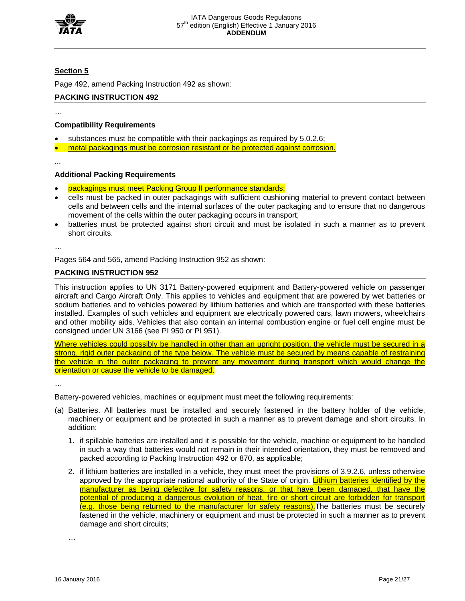

# **Section 5**

Page 492, amend Packing Instruction 492 as shown:

# **PACKING INSTRUCTION 492**

…

# **Compatibility Requirements**

- substances must be compatible with their packagings as required by 5.0.2.6;
- metal packagings must be corrosion resistant or be protected against corrosion.

...

# **Additional Packing Requirements**

- packagings must meet Packing Group II performance standards;
- cells must be packed in outer packagings with sufficient cushioning material to prevent contact between cells and between cells and the internal surfaces of the outer packaging and to ensure that no dangerous movement of the cells within the outer packaging occurs in transport;
- batteries must be protected against short circuit and must be isolated in such a manner as to prevent short circuits.

…

Pages 564 and 565, amend Packing Instruction 952 as shown:

# **PACKING INSTRUCTION 952**

This instruction applies to UN 3171 Battery-powered equipment and Battery-powered vehicle on passenger aircraft and Cargo Aircraft Only. This applies to vehicles and equipment that are powered by wet batteries or sodium batteries and to vehicles powered by lithium batteries and which are transported with these batteries installed. Examples of such vehicles and equipment are electrically powered cars, lawn mowers, wheelchairs and other mobility aids. Vehicles that also contain an internal combustion engine or fuel cell engine must be consigned under UN 3166 (see PI 950 or PI 951).

Where vehicles could possibly be handled in other than an upright position, the vehicle must be secured in a strong, rigid outer packaging of the type below. The vehicle must be secured by means capable of restraining the vehicle in the outer packaging to prevent any movement during transport which would change the orientation or cause the vehicle to be damaged.

…

Battery-powered vehicles, machines or equipment must meet the following requirements:

- (a) Batteries. All batteries must be installed and securely fastened in the battery holder of the vehicle, machinery or equipment and be protected in such a manner as to prevent damage and short circuits. In addition:
	- 1. if spillable batteries are installed and it is possible for the vehicle, machine or equipment to be handled in such a way that batteries would not remain in their intended orientation, they must be removed and packed according to Packing Instruction 492 or 870, as applicable;
	- 2. if lithium batteries are installed in a vehicle, they must meet the provisions of 3.9.2.6, unless otherwise approved by the appropriate national authority of the State of origin. Lithium batteries identified by the manufacturer as being defective for safety reasons, or that have been damaged, that have the potential of producing a dangerous evolution of heat, fire or short circuit are forbidden for transport (e.g. those being returned to the manufacturer for safety reasons). The batteries must be securely fastened in the vehicle, machinery or equipment and must be protected in such a manner as to prevent damage and short circuits;

…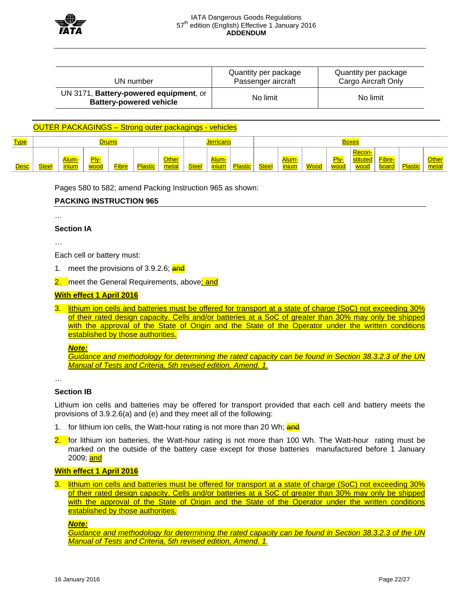

| UN number                                                                | Quantity per package<br>Passenger aircraft | Quantity per package<br>Cargo Aircraft Only |  |  |  |
|--------------------------------------------------------------------------|--------------------------------------------|---------------------------------------------|--|--|--|
| UN 3171, Battery-powered equipment, or<br><b>Battery-powered vehicle</b> | No limit                                   | No limit                                    |  |  |  |

# OUTER PACKAGINGS – Strong outer packagings - vehicles

| <u>Type</u> | <b>Drums</b> |                            |              |              |                |                      | <mark>' erricans</mark> |                      |                |              |                |             | <b>Boxes</b> |                |                 |                |                       |
|-------------|--------------|----------------------------|--------------|--------------|----------------|----------------------|-------------------------|----------------------|----------------|--------------|----------------|-------------|--------------|----------------|-----------------|----------------|-----------------------|
| Desc        | <b>Steel</b> | Alum<br><mark>inium</mark> | Plv-<br>wood | <b>Fibre</b> | <b>Plastic</b> | <b>Other</b><br>meta | <b>Steel</b>            | Alum-<br><b>lium</b> | <b>Plastic</b> | <b>Steel</b> | Alum-<br>inium | <b>Wood</b> | Ply-<br>wood | Recon-<br>wood | Fibre-<br>board | <b>Plactic</b> | <b>Other</b><br>metal |

Pages 580 to 582; amend Packing Instruction 965 as shown:

### **PACKING INSTRUCTION 965**

…

### **Section IA**

…

Each cell or battery must:

1. meet the provisions of 3.9.2.6; and

2. meet the General Requirements, above; and

### **With effect 1 April 2016**

3. lithium ion cells and batteries must be offered for transport at a state of charge (SoC) not exceeding 30% of their rated design capacity. Cells and/or batteries at a SoC of greater than 30% may only be shipped with the approval of the State of Origin and the State of the Operator under the written conditions established by those authorities.

#### *Note:*

*Guidance and methodology for determining the rated capacity can be found in Section 38.3.2.3 of the UN Manual of Tests and Criteria, 5th revised edition, Amend. 1.* 

…

### **Section IB**

Lithium ion cells and batteries may be offered for transport provided that each cell and battery meets the provisions of 3.9.2.6(a) and (e) and they meet all of the following:

- 1. for lithium ion cells, the Watt-hour rating is not more than 20 Wh; and
- 2. for lithium ion batteries, the Watt-hour rating is not more than 100 Wh. The Watt-hour rating must be marked on the outside of the battery case except for those batteries manufactured before 1 January 2009; and

# **With effect 1 April 2016**

lithium ion cells and batteries must be offered for transport at a state of charge (SoC) not exceeding 30% of their rated design capacity. Cells and/or batteries at a SoC of greater than 30% may only be shipped with the approval of the State of Origin and the State of the Operator under the written conditions established by those authorities.

*Note:* 

*Guidance and methodology for determining the rated capacity can be found in Section 38.3.2.3 of the UN Manual of Tests and Criteria, 5th revised edition, Amend. 1.*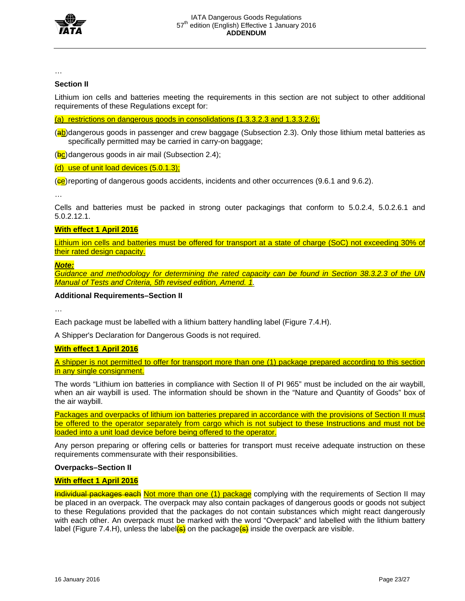

…

# **Section II**

Lithium ion cells and batteries meeting the requirements in this section are not subject to other additional requirements of these Regulations except for:

(a) restrictions on dangerous goods in consolidations (1.3.3.2.3 and 1.3.3.2.6);

(ab) dangerous goods in passenger and crew baggage (Subsection 2.3). Only those lithium metal batteries as specifically permitted may be carried in carry-on baggage;

 $(**bc**)$  dangerous goods in air mail (Subsection 2.4);

# (d) use of unit load devices (5.0.1.3);

 $\left(\frac{1}{\epsilon}\right)$  reporting of dangerous goods accidents, incidents and other occurrences (9.6.1 and 9.6.2).

…

Cells and batteries must be packed in strong outer packagings that conform to 5.0.2.4, 5.0.2.6.1 and 5.0.2.12.1.

# **With effect 1 April 2016**

Lithium ion cells and batteries must be offered for transport at a state of charge (SoC) not exceeding 30% of their rated design capacity.

## *Note:*

*Guidance and methodology for determining the rated capacity can be found in Section 38.3.2.3 of the UN Manual of Tests and Criteria, 5th revised edition, Amend. 1.* 

## **Additional Requirements–Section II**

…

Each package must be labelled with a lithium battery handling label (Figure 7.4.H).

A Shipper's Declaration for Dangerous Goods is not required.

# **With effect 1 April 2016**

A shipper is not permitted to offer for transport more than one (1) package prepared according to this section in any single consignment.

The words "Lithium ion batteries in compliance with Section II of PI 965" must be included on the air waybill, when an air waybill is used. The information should be shown in the "Nature and Quantity of Goods" box of the air waybill.

Packages and overpacks of lithium ion batteries prepared in accordance with the provisions of Section II must be offered to the operator separately from cargo which is not subject to these Instructions and must not be loaded into a unit load device before being offered to the operator.

Any person preparing or offering cells or batteries for transport must receive adequate instruction on these requirements commensurate with their responsibilities.

# **Overpacks–Section II**

# **With effect 1 April 2016**

Individual packages each Not more than one (1) package complying with the requirements of Section II may be placed in an overpack. The overpack may also contain packages of dangerous goods or goods not subject to these Regulations provided that the packages do not contain substances which might react dangerously with each other. An overpack must be marked with the word "Overpack" and labelled with the lithium battery label (Figure 7.4.H), unless the label $(6)$  on the package $(6)$  inside the overpack are visible.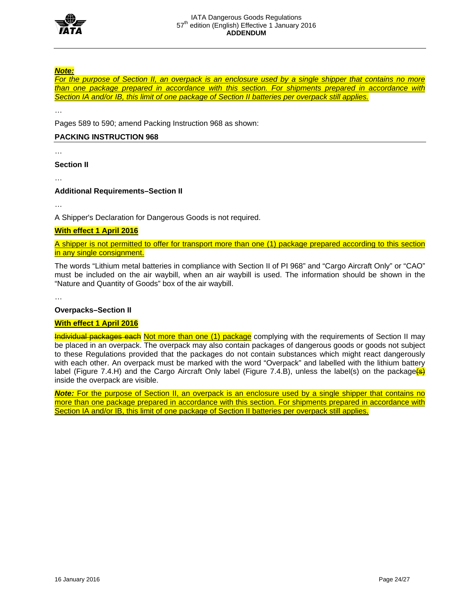

# *Note:*

*For the purpose of Section II, an overpack is an enclosure used by a single shipper that contains no more than one package prepared in accordance with this section. For shipments prepared in accordance with Section IA and/or IB, this limit of one package of Section II batteries per overpack still applies.* 

Pages 589 to 590; amend Packing Instruction 968 as shown:

# **PACKING INSTRUCTION 968**

…

…

**Section II** 

…

# **Additional Requirements–Section II**

…

A Shipper's Declaration for Dangerous Goods is not required.

# **With effect 1 April 2016**

A shipper is not permitted to offer for transport more than one (1) package prepared according to this section in any single consignment.

The words "Lithium metal batteries in compliance with Section II of PI 968" and "Cargo Aircraft Only" or "CAO" must be included on the air waybill, when an air waybill is used. The information should be shown in the "Nature and Quantity of Goods" box of the air waybill.

…

# **Overpacks–Section II**

# **With effect 1 April 2016**

**Individual packages each Not more than one (1) package** complying with the requirements of Section II may be placed in an overpack. The overpack may also contain packages of dangerous goods or goods not subject to these Regulations provided that the packages do not contain substances which might react dangerously with each other. An overpack must be marked with the word "Overpack" and labelled with the lithium battery label (Figure 7.4.H) and the Cargo Aircraft Only label (Figure 7.4.B), unless the label(s) on the package(s) inside the overpack are visible.

**Note:** For the purpose of Section II, an overpack is an enclosure used by a single shipper that contains no more than one package prepared in accordance with this section. For shipments prepared in accordance with Section IA and/or IB, this limit of one package of Section II batteries per overpack still applies.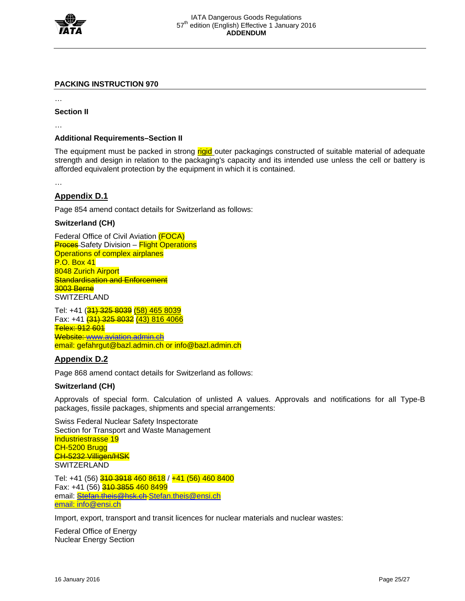

# **PACKING INSTRUCTION 970**

…

**Section II** 

…

# **Additional Requirements–Section II**

The equipment must be packed in strong rigid outer packagings constructed of suitable material of adequate strength and design in relation to the packaging's capacity and its intended use unless the cell or battery is afforded equivalent protection by the equipment in which it is contained.

…

# **Appendix D.1**

Page 854 amend contact details for Switzerland as follows:

# **Switzerland (CH)**

Federal Office of Civil Aviation (FOCA) **Proces** Safety Division – Flight Operations Operations of complex airplanes P.O. Box 41 8048 Zurich Airport **Standardisation and Enforcement** 3003 Berne SWITZERLAND

Tel: +41 (31) 325 8039 (58) 465 8039 Fax: +41 (31) 325 8032 (43) 816 4066 Telex: 912 601 Website: www.aviation.admin.ch email: gefahrgut@bazl.admin.ch or info@bazl.admin.ch

# **Appendix D.2**

Page 868 amend contact details for Switzerland as follows:

# **Switzerland (CH)**

Approvals of special form. Calculation of unlisted A values. Approvals and notifications for all Type-B packages, fissile packages, shipments and special arrangements:

Swiss Federal Nuclear Safety Inspectorate Section for Transport and Waste Management Industriestrasse 19 CH-5200 Brugg CH-5232 Villigen/HSK **SWITZERLAND** 

Tel: +41 (56) 310 3918 460 8618 / +41 (56) 460 8400 Fax: +41 (56) 310 3855 460 8499 email: **Stefan.theis@hsk.ch Stefan.theis@ensi.ch** email: info@ensi.ch

Import, export, transport and transit licences for nuclear materials and nuclear wastes:

Federal Office of Energy Nuclear Energy Section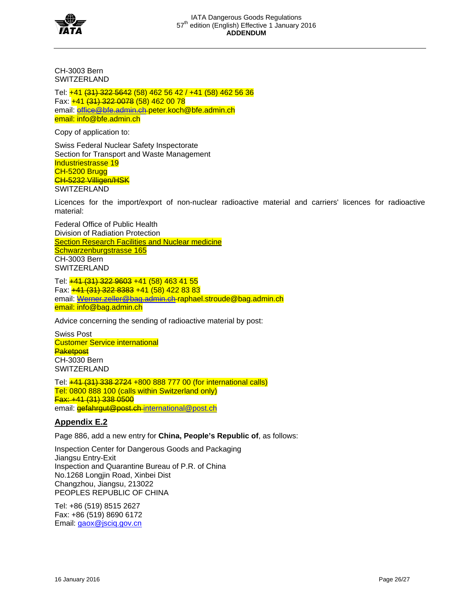

CH-3003 Bern SWITZERLAND

Tel: +41 (31) 322 5642 (58) 462 56 42 / +41 (58) 462 56 36 Fax: +41 (31) 322 0078 (58) 462 00 78 email: office@bfe.admin.ch peter.koch@bfe.admin.ch email: info@bfe.admin.ch

Copy of application to:

Swiss Federal Nuclear Safety Inspectorate Section for Transport and Waste Management Industriestrasse 19 CH-5200 Brugg CH-5232 Villigen/HSK SWITZERLAND

Licences for the import/export of non-nuclear radioactive material and carriers' licences for radioactive material:

Federal Office of Public Health Division of Radiation Protection **Section Research Facilities and Nuclear medicine** Schwarzenburgstrasse 165 CH-3003 Bern SWITZERLAND

Tel: +41 (31) 322 9603 +41 (58) 463 41 55 Fax: +41 (31) 322 8383 +41 (58) 422 83 83 email: Werner.zeller@bag.admin.ch-raphael.stroude@bag.admin.ch email: info@bag.admin.ch

Advice concerning the sending of radioactive material by post:

Swiss Post Customer Service international **Paketpost** CH-3030 Bern **SWITZERLAND** 

Tel: +41 (31) 338 2724 +800 888 777 00 (for international calls) Tel: 0800 888 100 (calls within Switzerland only) Fax: +41 (31) 338 0500 email: **gefahrgut@post.ch**-international@post.ch

# **Appendix E.2**

Page 886, add a new entry for **China, People's Republic of**, as follows:

Inspection Center for Dangerous Goods and Packaging Jiangsu Entry-Exit Inspection and Quarantine Bureau of P.R. of China No.1268 Longjin Road, Xinbei Dist Changzhou, Jiangsu, 213022 PEOPLES REPUBLIC OF CHINA

Tel: +86 (519) 8515 2627 Fax: +86 (519) 8690 6172 Email: gaox@jsciq.gov.cn